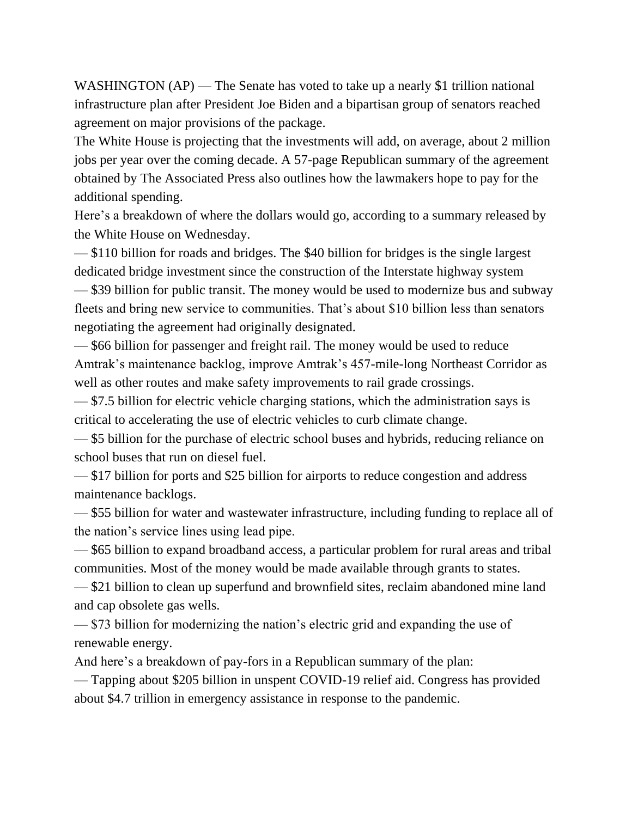WASHINGTON (AP) — The Senate has voted to take up a nearly \$1 trillion national infrastructure plan after President Joe Biden and a bipartisan group of senators reached agreement on major provisions of the package.

The White House is projecting that the investments will add, on average, about 2 million jobs per year over the coming decade. A 57-page Republican summary of the agreement obtained by The Associated Press also outlines how the lawmakers hope to pay for the additional spending.

Here's a breakdown of where the dollars would go, according to a summary released by the White House on Wednesday.

— \$110 billion for roads and bridges. The \$40 billion for bridges is the single largest dedicated bridge investment since the construction of the Interstate highway system — \$39 billion for public transit. The money would be used to modernize bus and subway fleets and bring new service to communities. That's about \$10 billion less than senators negotiating the agreement had originally designated.

— \$66 billion for passenger and freight rail. The money would be used to reduce Amtrak's maintenance backlog, improve Amtrak's 457-mile-long Northeast Corridor as well as other routes and make safety improvements to rail grade crossings.

— \$7.5 billion for electric vehicle charging stations, which the administration says is critical to accelerating the use of electric vehicles to curb climate change.

— \$5 billion for the purchase of electric school buses and hybrids, reducing reliance on school buses that run on diesel fuel.

— \$17 billion for ports and \$25 billion for airports to reduce congestion and address maintenance backlogs.

— \$55 billion for water and wastewater infrastructure, including funding to replace all of the nation's service lines using lead pipe.

— \$65 billion to expand broadband access, a particular problem for rural areas and tribal communities. Most of the money would be made available through grants to states.

— \$21 billion to clean up superfund and brownfield sites, reclaim abandoned mine land and cap obsolete gas wells.

— \$73 billion for modernizing the nation's electric grid and expanding the use of renewable energy.

And here's a breakdown of pay-fors in a Republican summary of the plan:

— Tapping about \$205 billion in unspent COVID-19 relief aid. Congress has provided about \$4.7 trillion in emergency assistance in response to the pandemic.